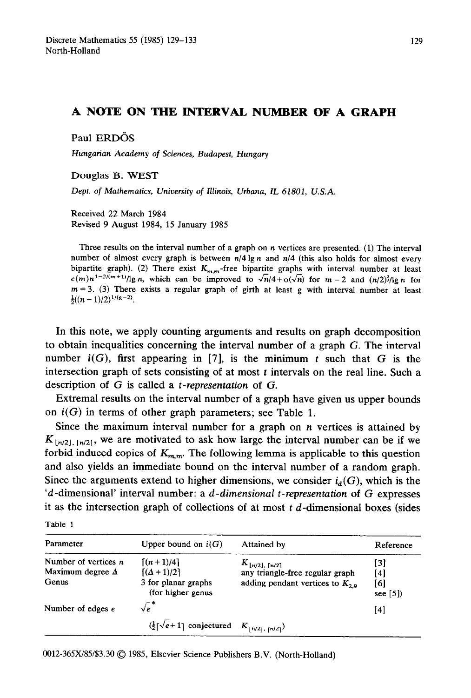## **A NOTE ON THE INTERVAL, NUMBER OF A GRAPH**

Paul ERDÖS

Hungarian Academy of Sciences, Budapest, Hungary

Douglas B. WEST

Dept. of *Mathematics, University of Illinois, Urbana, IL* 61801, U.S.A.

Received 22 March 1984 Revised 9 August 1984, 15 January 1985

Three results on the interval number of a graph on n vertices are presented. (1) The interval number of almost every graph is between  $n/4 \lg n$  and  $n/4$  (this also holds for almost every bipartite graph). (2) There exist  $K_{m,n}$ -free bipartite graphs with interval number at least  $c(m)n^{1-2/(m+1)}/\lg n$ , which can be improved to  $\sqrt{n}/4 + o(\sqrt{n})$  for  $m = 2$  and  $(n/2)^{3}/\lg n$  for  $m = 3$ . (3) There exists a regular graph of girth at least g with interval number at least  $\frac{1}{2}((n-1)/2)^{1/(g-2)}$ .

In this note, we apply counting arguments and results on graph decomposition to obtain inequalities concerning the interval number of a graph G. The interval number  $i(G)$ , first appearing in [7], is the minimum t such that G is the intersection graph of sets consisting of at most  $t$  intervals on the real line. Such a description of G is called a *t-representation* of G.

Extremal results on the interval number of a graph have given us upper bounds on  $i(G)$  in terms of other graph parameters; see Table 1.

Since the maximum interval number for a graph on  $n$  vertices is attained by  $K_{\lfloor n/2 \rfloor, \lceil n/2 \rceil}$ , we are motivated to ask how large the interval number can be if we forbid induced copies of  $K_{m,m}$ . The following lemma is applicable to this question and also yields an immediate bound on the interval number of a random graph. Since the arguments extend to higher dimensions, we consider  $i_d(G)$ , which is the *'d-dimensional'* interval number: a *d-dimensional t-representation* of G expresses it as the intersection graph of collections of at most  $t$  d-dimensional boxes (sides

| Parameter               | Upper bound on $i(G)$                                                                             | Attained by                                  | Reference       |
|-------------------------|---------------------------------------------------------------------------------------------------|----------------------------------------------|-----------------|
| Number of vertices $n$  | $\lceil (n+1)/4 \rceil$                                                                           | $K_{\lfloor n/2 \rfloor, \lceil n/2 \rceil}$ | [3]             |
| Maximum degree $\Delta$ | $[(\Delta + 1)/2]$                                                                                | any triangle-free regular graph              | [4]             |
| Genus                   | 3 for planar graphs<br>(for higher genus                                                          | adding pendant vertices to $K_{29}$          | [6]<br>see [5]) |
| Number of edges e       | $\sqrt{e}$ *                                                                                      |                                              | [4]             |
|                         | $(\frac{1}{2} \lceil \sqrt{e+1} \rceil)$ conjectured $K_{\lfloor n/2 \rfloor, \lceil n/2 \rceil}$ |                                              |                 |

0012-365W85/\$3.30 @ 1985, Elsevier Science Publishers B.V. (North-Holland)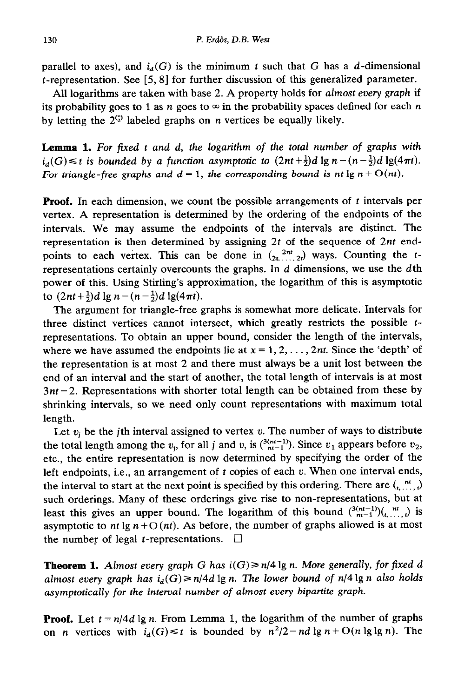parallel to axes), and  $i_d(G)$  is the minimum t such that G has a d-dimensional  $t$ -representation. See [5, 8] for further-discussion of this generalized parameter.

All logarithms are taken with base 2. A property holds for almost every *graph* if its probability goes to 1 as *n* goes to  $\infty$  in the probability spaces defined for each *n* by letting the  $2^{(\frac{n}{2})}$  labeled graphs on *n* vertices be equally likely.

**Lemma 1.** *For fixed* t *and d, the* logarithm of *the* total number of graphs with  $i_d(G) \leq t$  is bounded by a function asymptotic to  $(2nt+\frac{1}{2})d \lg n - (n-\frac{1}{2})d \lg(4\pi t)$ . *For triangle-free graphs and*  $d = 1$ *, the corresponding bound is nt*  $\lg n + O(nt)$ *.* 

**Proof.** In each dimension, we count the possible arrangements of t intervals per vertex. A representation is determined by the ordering of the endpoints of the intervals. We may assume the endpoints of the intervals are distinct. The representation is then determined by assigning *2t* of the sequence of *2nt* endpoints to each vertex. This can be done in  $\left(2t, \ldots, 2t\right)$  ways. Counting the trepresentations certainly overcounts the graphs. In *d* dimensions, we use the dth power of this. Using Stirling's approximation, the logarithm of this is asymptotic to  $(2nt+\frac{1}{2})d \lg n - (n-\frac{1}{2})d \lg(4\pi t)$ .

The argument for triangle-free graphs is somewhat more delicate:Intervals for three distinct vertices cannot intersect, which greatly restricts the possible trepresentations. To obtain an upper bound, consider the length of the intervals, where we have assumed the endpoints lie at  $x = 1, 2, \ldots, 2nt$ . Since the 'depth' of the representation is at most 2 and there must always be a unit lost between the end of an interval and the start of another, the total length of intervals is at most *3nt -2.* Representations with shorter total length can be obtained from these by shrinking intervals, so we need only count representations with maximum total length.

Let  $v_i$  be the *j*th interval assigned to vertex v. The number of ways to distribute the total length among the  $v_i$ , for all j and v, is  $\binom{3(n+1)}{n+1}$ . Since  $v_1$  appears before  $v_2$ , etc., the entire representation is now determined by specifying the order of the left endpoints, i.e., an arrangement of  $t$  copies of each  $v$ . When one interval ends, the interval to start at the next point is specified by this ordering. There are  $\binom{m}{k}$ such orderings. Many of these orderings give rise to non-representations, but at least this gives an upper bound. The logarithm of this bound  $\binom{3(n+1)}{n+1}\binom{n!}{t, \dots, t}$  is asymptotic to *nt* lg  $n + O(nt)$ . As before, the number of graphs allowed is at most the number of legal *t*-representations.  $\Box$ 

**Theorem 1.** Almost every graph G has  $i(G) \ge n/4 \lg n$ . More generally, for fixed d *almost every graph has*  $i_d(G) \ge n/4d \lg n$ . The lower bound of  $n/4 \lg n$  also holds *asymptotically for the interval number of almost every bipartite graph.* 

**Proof.** Let  $t = n/4d \lg n$ . From Lemma 1, the logarithm of the number of graphs on *n* vertices with  $i_d(G) \le t$  is bounded by  $n^2/2 - nd \lg n + O(n \lg \lg n)$ . The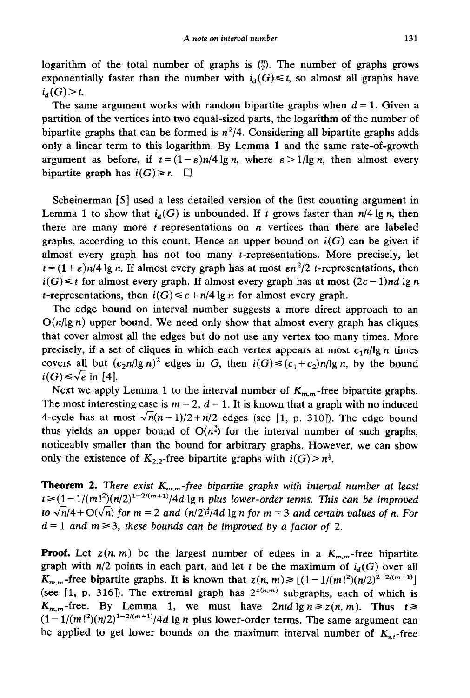logarithm of the total number of graphs is  $\binom{n}{2}$ . The number of graphs grows exponentially faster than the number with  $i_d(G) \le t$ , so almost all graphs have  $i_{d}(G) > t$ .

The same argument works with random bipartite graphs when  $d = 1$ . Given a partition of the vertices into two equal-sized parts, the logarithm of the number of bipartite graphs that can be formed is  $n^2/4$ . Considering all bipartite graphs adds only a linear term to this logarithm. By Lemma 1 and the same rate-of-growth argument as before, if  $t = (1 - \varepsilon)n/4 \lg n$ , where  $\varepsilon > 1/\lg n$ , then almost every bipartite graph has  $i(G) \ge r$ .  $\Box$ 

Scheinerman [5] used a less detailed version of the first counting argument in Lemma 1 to show that  $i_d(G)$  is unbounded. If t grows faster than  $n/4 \lg n$ , then there are many more  $t$ -representations on  $n$  vertices than there are labeled graphs, according to this count. Hence an upper bound on  $i(G)$  can be given if almost every graph has not too many t-representations. More precisely, let  $t = (1 + \varepsilon)n/4 \lg n$ . If almost every graph has at most  $\varepsilon n^2/2$  *t*-representations, then  $i(G) \leq t$  for almost every graph. If almost every graph has at most  $(2c - 1)nd \lg n$ *t*-representations, then  $i(G) \leq c + n/4 \lg n$  for almost every graph.

The edge bound on interval number suggests a more direct approach to an  $O(n/\lg n)$  upper bound. We need only show that almost every graph has cliques that cover almost all the edges but do not use any vertex too many times. More precisely, if a set of cliques in which each vertex appears at most  $c<sub>1</sub>n/lg n$  times covers all but  $(c_2n/\lg n)^2$  edges in G, then  $i(G) \leq (c_1+c_2)n/\lg n$ , by the bound  $i(G) \leq \sqrt{e}$  in [4].

Next we apply Lemma 1 to the interval number of  $K_{m,m}$ -free bipartite graphs. The most interesting case is  $m = 2$ ,  $d = 1$ . It is known that a graph with no induced 4-cycle has at most  $\sqrt{n(n-1)/2} + n/2$  edges (see [1, p. 310]). The edge bound thus yields an upper bound of  $O(n^{\frac{3}{4}})$  for the interval number of such graphs, noticeably smaller than the bound for arbitrary graphs. However, we can show only the existence of  $K_{2,2}$ -free bipartite graphs with  $i(G) > n^{\frac{1}{2}}$ .

**Theorem 2.** *There exist*  $K_{m,m}$ -free bipartite graphs with interval number at least  $t \ge (1 - 1/(m!)^2)(n/2)^{1-2/(m+1)}/4d \lg n$  plus lower-order terms. This can be improved *to*  $\sqrt{n}/4$  +  $O(\sqrt{n})$  *for*  $m = 2$  *and*  $(n/2)^{\frac{2}{3}}/4d$  lg *n for*  $m = 3$  *and certain values of n. For*  $d = 1$  *and*  $m \ge 3$ , these bounds can be improved by a factor of 2.

**Proof.** Let  $z(n, m)$  be the largest number of edges in a  $K_{m,m}$ -free bipartite graph with  $n/2$  points in each part, and let t be the maximum of  $i_d(G)$  over all *K*<sub>*m,m</sub>*-free bipartite graphs. It is known that  $z(n, m) \ge |(1 - 1/(m!)^2)(n/2)^{2-2/(m+1)}|$ </sub> (see [1, p. 316]). The extremal graph has  $2^{z(n,m)}$  subgraphs, each of which is  $K_{m,m}$ -free. By Lemma 1, we must have 2ntd  $\lg n \geq z(n, m)$ . Thus  $t \geq$  $(1-1/(m!)^2)(n/2)^{1-2/(m+1)}/4d$  lg n plus lower-order terms. The same argument can be applied to get lower bounds on the maximum interval number of  $K_{s,t}$ -free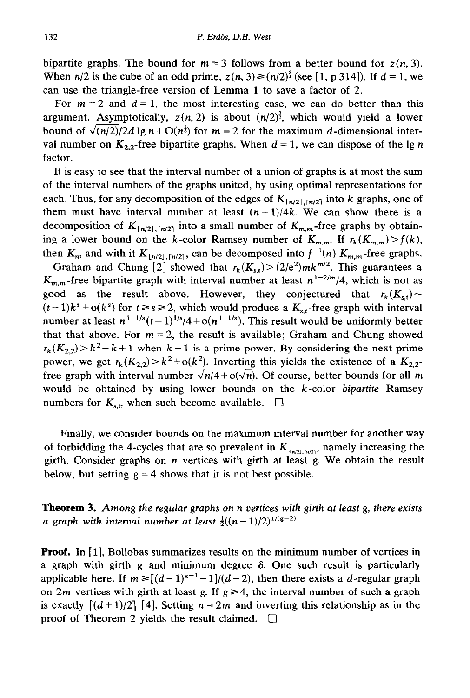bipartite graphs. The bound for  $m = 3$  follows from a better bound for  $z(n, 3)$ . When  $n/2$  is the cube of an odd prime,  $z(n, 3) \ge (n/2)^{\frac{5}{3}}$  (see [1, p 314]). If  $d = 1$ , we can use the triangle-free version of Lemma 1 to save a factor of 2.

For  $m = 2$  and  $d = 1$ , the most interesting case, we can do better than this argument. Asymptotically,  $z(n, 2)$  is about  $(n/2)^{\frac{3}{2}}$ , which would yield a lower bound of  $\sqrt{(n/2)}/2d \lg n + O(n^{\frac{1}{3}})$  for  $m = 2$  for the maximum d-dimensional interval number on  $K_{2,2}$ -free bipartite graphs. When  $d = 1$ , we can dispose of the lg n factor.

It is easy to see that the interval number of a union of graphs is at most the sum of the interval numbers of the graphs united, by using optimal representations for each. Thus, for any decomposition of the edges of  $K_{\lfloor n/2 \rfloor, \lceil n/2 \rceil}$  into *k* graphs, one of them must have interval number at least  $(n+1)/4k$ . We can show there is a decomposition of  $K_{\lfloor n/2 \rfloor, \lceil n/2 \rceil}$  into a small number of  $K_{m,m}$ -free graphs by obtaining a lower bound on the k-color Ramsey number of  $K_{m,m}$ . If  $r_k(K_{m,m}) > f(k)$ , then  $K_n$ , and with it  $K_{\lfloor n/2 \rfloor, \lceil n/2 \rceil}$ , can be decomposed into  $f^{-1}(n) K_{m,m}$ -free graphs.

Graham and Chung [2] showed that  $r_k(K_{s,t}) > (2/e^2)mk^{m/2}$ . This guarantees a  $K_{m,m}$ -free bipartite graph with interval number at least  $n^{1-2/m}/4$ , which is not as good as the result above. However, they conjectured that  $r_k(K_{s,t})$  $(t-1)k^s + o(k^s)$  for  $t \ge s \ge 2$ , which would produce a  $K_{st}$ -free graph with interval number at least  $n^{1-1/s}(t-1)^{1/s}/4 + o(n^{1-1/s})$ . This result would be uniformly better that that above. For  $m = 2$ , the result is available; Graham and Chung showed  $r_k(K_{2,2}) > k^2 - k + 1$  when  $k-1$  is a prime power. By considering the next prime power, we get  $r_k(K_{2,2}) > k^2 + o(k^2)$ . Inverting this yields the existence of a  $K_{2,2}$ free graph with interval number  $\sqrt{n}/4 + o(\sqrt{n})$ . Of course, better bounds for all *m* would be obtained by using lower bounds on the k-color *bipartite* Ramsey numbers for  $K_{s,t}$ , when such become available.  $\square$ 

Finally, we consider bounds on the maximum interval number for another way of forbidding the 4-cycles that are so prevalent in  $K_{L_{\text{total}}(m/2)}$ , namely increasing the girth. Consider graphs on  $n$  vertices with girth at least  $g$ . We obtain the result below, but setting  $g = 4$  shows that it is not best possible.

**Theorem 3.** *Among the regular graphs on n vertices wirh girth at least g, there exists a* graph with interval number at least  $\frac{1}{2}((n-1)/2)^{1/(g-2)}$ .

**Proof.** In  $\begin{bmatrix} 1 \end{bmatrix}$ , Bollobas summarizes results on the minimum number of vertices in a graph with girth g and minimum degree  $\delta$ . One such result is particularly applicable here. If  $m \geq [(d-1)^{g-1}-1]/(d-2)$ , then there exists a d-regular graph on 2m vertices with girth at least g. If  $g \ge 4$ , the interval number of such a graph is exactly  $\left[\frac{d+1}{2}\right]$  [4]. Setting  $n = 2m$  and inverting this relationship as in the proof of Theorem 2 yields the result claimed.  $\square$